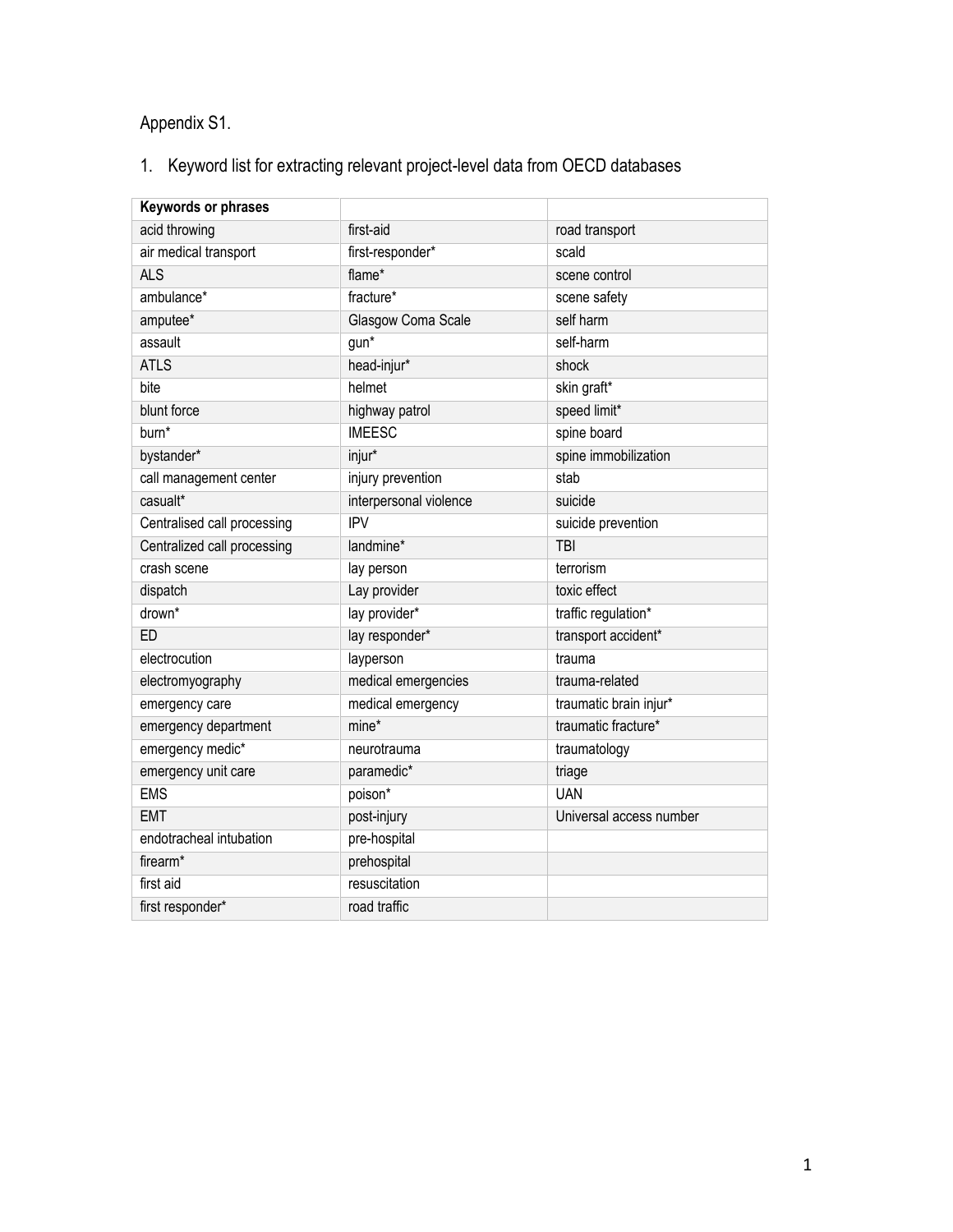## Appendix S1.

## 1. Keyword list for extracting relevant project-level data from OECD databases

| Keywords or phrases         |                        |                         |
|-----------------------------|------------------------|-------------------------|
| acid throwing               | first-aid              | road transport          |
| air medical transport       | first-responder*       | scald                   |
| <b>ALS</b>                  | flame*                 | scene control           |
| ambulance*                  | fracture*              | scene safety            |
| amputee*                    | Glasgow Coma Scale     | self harm               |
| assault                     | $gun*$                 | self-harm               |
| <b>ATLS</b>                 | head-injur*            | shock                   |
| bite                        | helmet                 | skin graft*             |
| blunt force                 | highway patrol         | speed limit*            |
| burn <sup>*</sup>           | <b>IMEESC</b>          | spine board             |
| bystander*                  | injur*                 | spine immobilization    |
| call management center      | injury prevention      | stab                    |
| casualt*                    | interpersonal violence | suicide                 |
| Centralised call processing | <b>IPV</b>             | suicide prevention      |
| Centralized call processing | landmine*              | <b>TBI</b>              |
| crash scene                 | lay person             | terrorism               |
| dispatch                    | Lay provider           | toxic effect            |
| drown*                      | lay provider*          | traffic regulation*     |
| ED                          | lay responder*         | transport accident*     |
| electrocution               | layperson              | trauma                  |
| electromyography            | medical emergencies    | trauma-related          |
| emergency care              | medical emergency      | traumatic brain injur*  |
| emergency department        | mine*                  | traumatic fracture*     |
| emergency medic*            | neurotrauma            | traumatology            |
| emergency unit care         | paramedic*             | triage                  |
| <b>EMS</b>                  | poison*                | <b>UAN</b>              |
| <b>EMT</b>                  | post-injury            | Universal access number |
| endotracheal intubation     | pre-hospital           |                         |
| firearm*                    | prehospital            |                         |
| first aid                   | resuscitation          |                         |
| first responder*            | road traffic           |                         |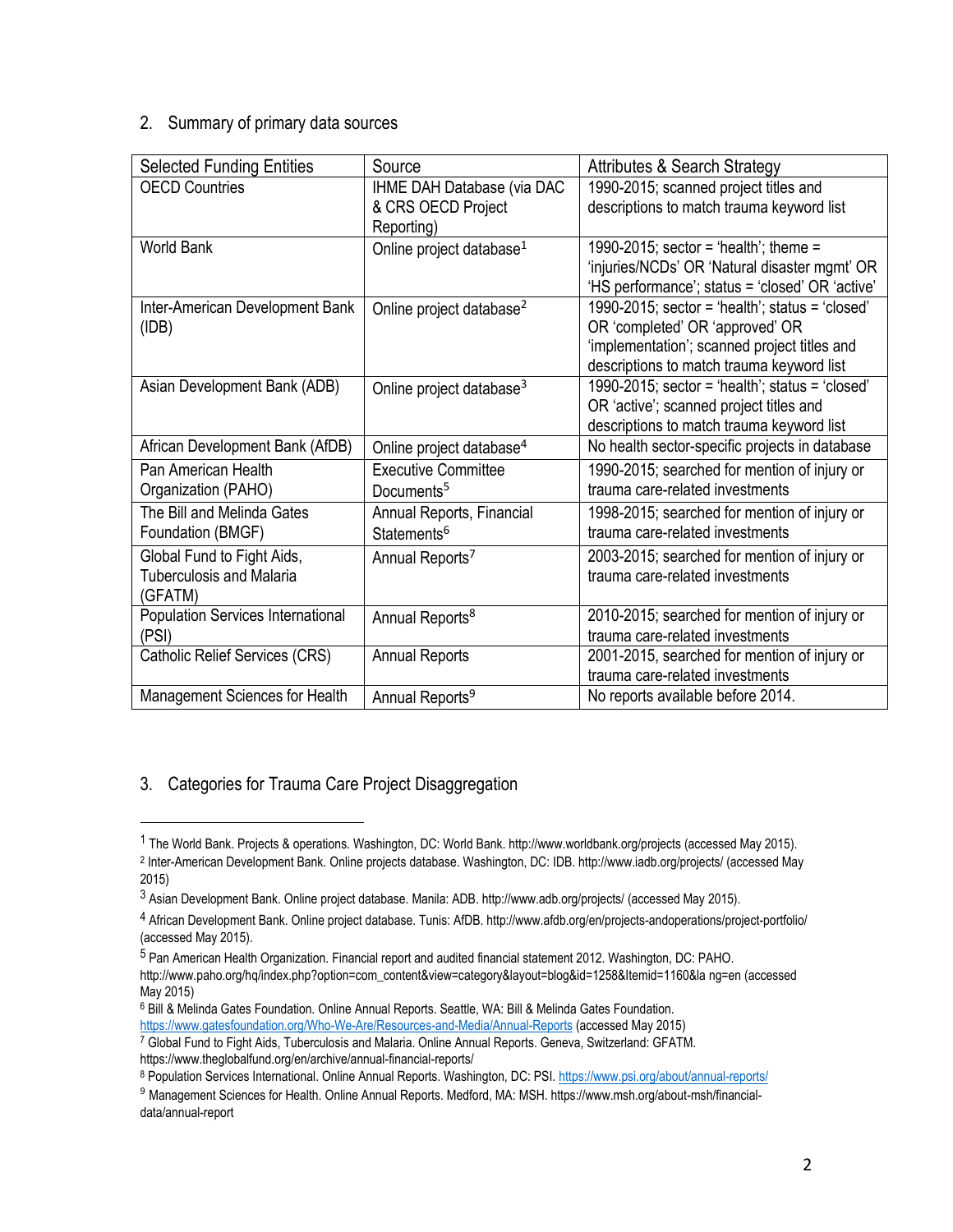## 2. Summary of primary data sources

| <b>Selected Funding Entities</b>                                         | Source                                                                | <b>Attributes &amp; Search Strategy</b>                                                                                                                                         |
|--------------------------------------------------------------------------|-----------------------------------------------------------------------|---------------------------------------------------------------------------------------------------------------------------------------------------------------------------------|
| <b>OECD Countries</b>                                                    | <b>IHME DAH Database (via DAC</b><br>& CRS OECD Project<br>Reporting) | 1990-2015; scanned project titles and<br>descriptions to match trauma keyword list                                                                                              |
| <b>World Bank</b>                                                        | Online project database <sup>1</sup>                                  | 1990-2015; sector = 'health'; theme =<br>'injuries/NCDs' OR 'Natural disaster mgmt' OR<br>'HS performance'; status = 'closed' OR 'active'                                       |
| Inter-American Development Bank<br>(IDB)                                 | Online project database <sup>2</sup>                                  | 1990-2015; sector = 'health'; status = 'closed'<br>OR 'completed' OR 'approved' OR<br>'implementation'; scanned project titles and<br>descriptions to match trauma keyword list |
| Asian Development Bank (ADB)                                             | Online project database <sup>3</sup>                                  | 1990-2015; sector = 'health'; status = 'closed'<br>OR 'active'; scanned project titles and<br>descriptions to match trauma keyword list                                         |
| African Development Bank (AfDB)                                          | Online project database <sup>4</sup>                                  | No health sector-specific projects in database                                                                                                                                  |
| Pan American Health<br>Organization (PAHO)                               | Executive Committee<br>Documents <sup>5</sup>                         | 1990-2015; searched for mention of injury or<br>trauma care-related investments                                                                                                 |
| The Bill and Melinda Gates<br>Foundation (BMGF)                          | Annual Reports, Financial<br>Statements <sup>6</sup>                  | 1998-2015; searched for mention of injury or<br>trauma care-related investments                                                                                                 |
| Global Fund to Fight Aids,<br><b>Tuberculosis and Malaria</b><br>(GFATM) | Annual Reports <sup>7</sup>                                           | 2003-2015; searched for mention of injury or<br>trauma care-related investments                                                                                                 |
| <b>Population Services International</b><br>(PSI)                        | Annual Reports <sup>8</sup>                                           | 2010-2015; searched for mention of injury or<br>trauma care-related investments                                                                                                 |
| <b>Catholic Relief Services (CRS)</b>                                    | <b>Annual Reports</b>                                                 | 2001-2015, searched for mention of injury or<br>trauma care-related investments                                                                                                 |
| Management Sciences for Health                                           | Annual Reports <sup>9</sup>                                           | No reports available before 2014.                                                                                                                                               |

## 3. Categories for Trauma Care Project Disaggregation

 $\overline{a}$ 

5 Pan American Health Organization. Financial report and audited financial statement 2012. Washington, DC: PAHO. http://www.paho.org/hq/index.php?option=com\_content&view=category&layout=blog&id=1258&Itemid=1160&la ng=en (accessed May 2015)

<https://www.gatesfoundation.org/Who-We-Are/Resources-and-Media/Annual-Reports> (accessed May 2015)

<sup>1</sup> The World Bank. Projects & operations. Washington, DC: World Bank. http://www.worldbank.org/projects (accessed May 2015). 2 Inter-American Development Bank. Online projects database. Washington, DC: IDB. http://www.iadb.org/projects/ (accessed May 2015)

<sup>3</sup> Asian Development Bank. Online project database. Manila: ADB. http://www.adb.org/projects/ (accessed May 2015).

<sup>4</sup> African Development Bank. Online project database. Tunis: AfDB. http://www.afdb.org/en/projects-andoperations/project-portfolio/ (accessed May 2015).

<sup>&</sup>lt;sup>6</sup> Bill & Melinda Gates Foundation. Online Annual Reports. Seattle, WA: Bill & Melinda Gates Foundation.

<sup>7</sup> Global Fund to Fight Aids, Tuberculosis and Malaria. Online Annual Reports. Geneva, Switzerland: GFATM. https://www.theglobalfund.org/en/archive/annual-financial-reports/

<sup>8</sup> Population Services International. Online Annual Reports. Washington, DC: PSI[. https://www.psi.org/about/annual-reports/](https://www.psi.org/about/annual-reports/)

<sup>9</sup> Management Sciences for Health. Online Annual Reports. Medford, MA: MSH. https://www.msh.org/about-msh/financialdata/annual-report